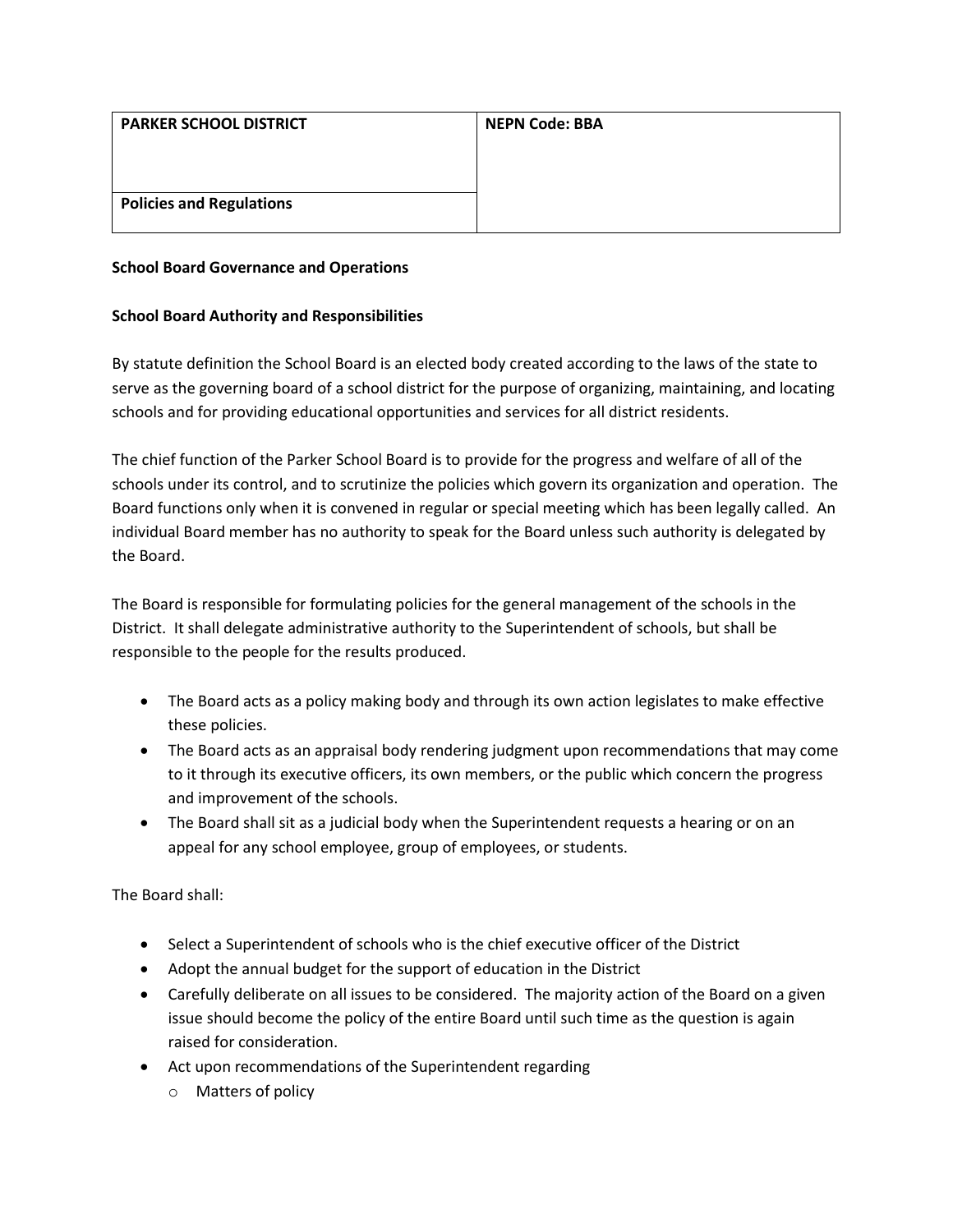| <b>NEPN Code: BBA</b> |
|-----------------------|
|                       |
|                       |
|                       |
|                       |

## **School Board Governance and Operations**

## **School Board Authority and Responsibilities**

By statute definition the School Board is an elected body created according to the laws of the state to serve as the governing board of a school district for the purpose of organizing, maintaining, and locating schools and for providing educational opportunities and services for all district residents.

The chief function of the Parker School Board is to provide for the progress and welfare of all of the schools under its control, and to scrutinize the policies which govern its organization and operation. The Board functions only when it is convened in regular or special meeting which has been legally called. An individual Board member has no authority to speak for the Board unless such authority is delegated by the Board.

The Board is responsible for formulating policies for the general management of the schools in the District. It shall delegate administrative authority to the Superintendent of schools, but shall be responsible to the people for the results produced.

- The Board acts as a policy making body and through its own action legislates to make effective these policies.
- The Board acts as an appraisal body rendering judgment upon recommendations that may come to it through its executive officers, its own members, or the public which concern the progress and improvement of the schools.
- The Board shall sit as a judicial body when the Superintendent requests a hearing or on an appeal for any school employee, group of employees, or students.

The Board shall:

- Select a Superintendent of schools who is the chief executive officer of the District
- Adopt the annual budget for the support of education in the District
- Carefully deliberate on all issues to be considered. The majority action of the Board on a given issue should become the policy of the entire Board until such time as the question is again raised for consideration.
- Act upon recommendations of the Superintendent regarding
	- o Matters of policy